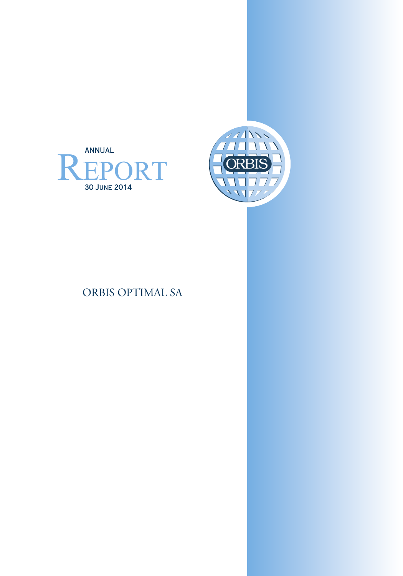



# ORBIS OPTIMAL SA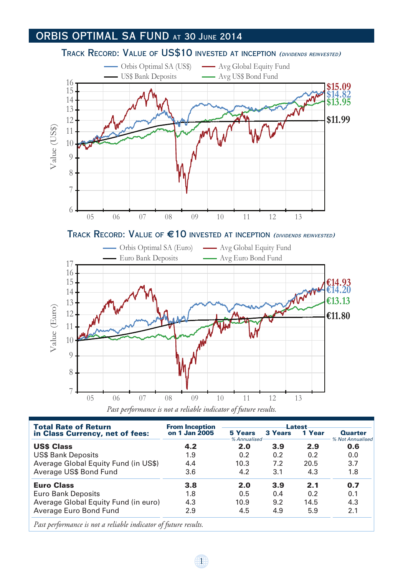

#### Track Record: Value of US\$10 invested at inception (dividends reinvested)

| <b>Total Rate of Return</b>                                     | <b>From Inception</b> | Latest                  |         |        |                                    |
|-----------------------------------------------------------------|-----------------------|-------------------------|---------|--------|------------------------------------|
| in Class Currency, net of fees:                                 | on 1 Jan 2005         | 5 Years<br>% Annualised | 3 Years | 1 Year | <b>Quarter</b><br>% Not Annualised |
| <b>USS Class</b>                                                | 4.2                   | 2.0                     | 3.9     | 2.9    | 0.6                                |
| <b>US\$ Bank Deposits</b>                                       | 1.9                   | 0.2                     | 0.2     | 0.2    | 0.0                                |
| Average Global Equity Fund (in US\$)                            | 4.4                   | 10.3                    | 7.2     | 20.5   | 3.7                                |
| Average US\$ Bond Fund                                          | 3.6                   | 4.2                     | 3.1     | 4.3    | 1.8                                |
| <b>Euro Class</b>                                               | 3.8                   | 2.0                     | 3.9     | 2.1    | 0.7                                |
| <b>Euro Bank Deposits</b>                                       | 1.8                   | 0.5                     | 0.4     | 0.2    | 0.1                                |
| Average Global Equity Fund (in euro)                            | 4.3                   | 10.9                    | 9.2     | 14.5   | 4.3                                |
| Average Euro Bond Fund                                          | 2.9                   | 4.5                     | 4.9     | 5.9    | 2.1                                |
| Past performance is not a reliable indicator of future results. |                       |                         |         |        |                                    |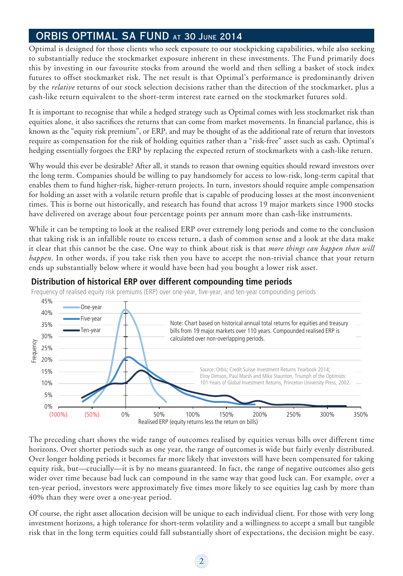Optimal is designed for those clients who seek exposure to our stockpicking capabilities, while also seeking to substantially reduce the stockmarket exposure inherent in these investments. The Fund primarily does this by investing in our favourite stocks from around the world and then selling a basket of stock index futures to offset stockmarket risk. The net result is that Optimal's performance is predominantly driven by the *relative* returns of our stock selection decisions rather than the direction of the stockmarket, plus a cash-like return equivalent to the short-term interest rate earned on the stockmarket futures sold.

It is important to recognise that while a hedged strategy such as Optimal comes with less stockmarket risk than equities alone, it also sacrifices the returns that can come from market movements. In financial parlance, this is known as the "equity risk premium", or ERP, and may be thought of as the additional rate of return that investors require as compensation for the risk of holding equities rather than a "risk-free" asset such as cash. Optimal's hedging essentially forgoes the ERP by replacing the expected return of stockmarkets with a cash-like return.

Why would this ever be desirable? After all, it stands to reason that owning equities should reward investors over the long term. Companies should be willing to pay handsomely for access to low-risk, long-term capital that enables them to fund higher-risk, higher-return projects. In turn, investors should require ample compensation for holding an asset with a volatile return profile that is capable of producing losses at the most inconvenient times. This is borne out historically, and research has found that across 19 major markets since 1900 stocks have delivered on average about four percentage points per annum more than cash-like instruments.

While it can be tempting to look at the realised ERP over extremely long periods and come to the conclusion that taking risk is an infallible route to excess return, a dash of common sense and a look at the data make it clear that this cannot be the case. One way to think about risk is that *more things can happen than will happen*. In other words, if you take risk then you have to accept the non-trivial chance that your return ends up substantially below where it would have been had you bought a lower risk asset.

## **Distribution of historical ERP over different compounding time periods**

Frequency of realised equity risk premiums (ERP) over one-year, five-year, and ten-year compounding periods



The preceding chart shows the wide range of outcomes realised by equities versus bills over different time horizons. Over shorter periods such as one year, the range of outcomes is wide but fairly evenly distributed. Over longer holding periods it becomes far more likely that investors will have been compensated for taking equity risk, but—crucially—it is by no means guaranteed. In fact, the range of negative outcomes also gets wider over time because bad luck can compound in the same way that good luck can. For example, over a ten-year period, investors were approximately five times more likely to see equities lag cash by more than 40% than they were over a one-year period.

Of course, the right asset allocation decision will be unique to each individual client. For those with very long investment horizons, a high tolerance for short-term volatility and a willingness to accept a small but tangible risk that in the long term equities could fall substantially short of expectations, the decision might be easy.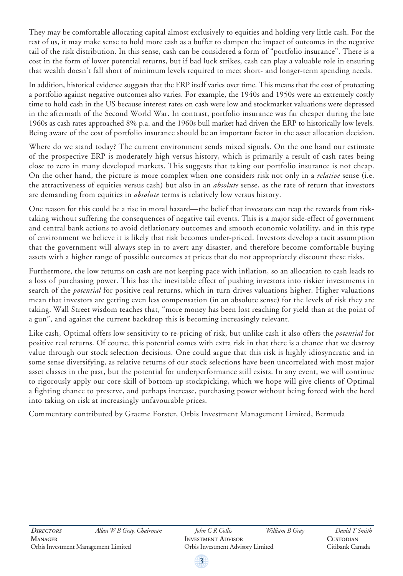They may be comfortable allocating capital almost exclusively to equities and holding very little cash. For the rest of us, it may make sense to hold more cash as a buffer to dampen the impact of outcomes in the negative tail of the risk distribution. In this sense, cash can be considered a form of "portfolio insurance". There is a cost in the form of lower potential returns, but if bad luck strikes, cash can play a valuable role in ensuring that wealth doesn't fall short of minimum levels required to meet short- and longer-term spending needs.

In addition, historical evidence suggests that the ERP itself varies over time. This means that the cost of protecting a portfolio against negative outcomes also varies. For example, the 1940s and 1950s were an extremely costly time to hold cash in the US because interest rates on cash were low and stockmarket valuations were depressed in the aftermath of the Second World War. In contrast, portfolio insurance was far cheaper during the late 1960s as cash rates approached 8% p.a. and the 1960s bull market had driven the ERP to historically low levels. Being aware of the cost of portfolio insurance should be an important factor in the asset allocation decision.

Where do we stand today? The current environment sends mixed signals. On the one hand our estimate of the prospective ERP is moderately high versus history, which is primarily a result of cash rates being close to zero in many developed markets. This suggests that taking out portfolio insurance is not cheap. On the other hand, the picture is more complex when one considers risk not only in a *relative* sense (i.e. the attractiveness of equities versus cash) but also in an *absolute* sense, as the rate of return that investors are demanding from equities in *absolute* terms is relatively low versus history.

One reason for this could be a rise in moral hazard—the belief that investors can reap the rewards from risktaking without suffering the consequences of negative tail events. This is a major side-effect of government and central bank actions to avoid deflationary outcomes and smooth economic volatility, and in this type of environment we believe it is likely that risk becomes under-priced. Investors develop a tacit assumption that the government will always step in to avert any disaster, and therefore become comfortable buying assets with a higher range of possible outcomes at prices that do not appropriately discount these risks.

Furthermore, the low returns on cash are not keeping pace with inflation, so an allocation to cash leads to a loss of purchasing power. This has the inevitable effect of pushing investors into riskier investments in search of the *potential* for positive real returns, which in turn drives valuations higher. Higher valuations mean that investors are getting even less compensation (in an absolute sense) for the levels of risk they are taking. Wall Street wisdom teaches that, "more money has been lost reaching for yield than at the point of a gun", and against the current backdrop this is becoming increasingly relevant.

Like cash, Optimal offers low sensitivity to re-pricing of risk, but unlike cash it also offers the *potential* for positive real returns. Of course, this potential comes with extra risk in that there is a chance that we destroy value through our stock selection decisions. One could argue that this risk is highly idiosyncratic and in some sense diversifying, as relative returns of our stock selections have been uncorrelated with most major asset classes in the past, but the potential for underperformance still exists. In any event, we will continue to rigorously apply our core skill of bottom-up stockpicking, which we hope will give clients of Optimal a fighting chance to preserve, and perhaps increase, purchasing power without being forced with the herd into taking on risk at increasingly unfavourable prices.

Commentary contributed by Graeme Forster, Orbis Investment Management Limited, Bermuda

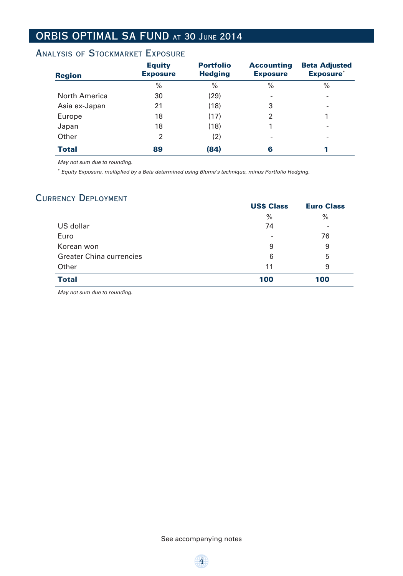## Analysis of Stockmarket Exposure

| <b>Region</b> | <b>Equity</b><br><b>Exposure</b> | <b>Portfolio</b><br><b>Hedging</b> | <b>Accounting</b><br><b>Exposure</b> | <b>Beta Adjusted</b><br><b>Exposure</b> * |
|---------------|----------------------------------|------------------------------------|--------------------------------------|-------------------------------------------|
|               | $\%$                             | $\%$                               | $\%$                                 | $\%$                                      |
| North America | 30                               | (29)                               | $\overline{\phantom{a}}$             | $\overline{\phantom{0}}$                  |
| Asia ex-Japan | 21                               | (18)                               | 3                                    | $\overline{\phantom{0}}$                  |
| Europe        | 18                               | (17)                               | 2                                    |                                           |
| Japan         | 18                               | (18)                               |                                      | $\overline{\phantom{0}}$                  |
| Other         | 2                                | (2)                                | $\overline{\phantom{0}}$             | $\overline{\phantom{0}}$                  |
| <b>Total</b>  | 89                               | (84)                               | 6                                    |                                           |

*May not sum due to rounding.*

\* *Equity Exposure, multiplied by a Beta determined using Blume's technique, minus Portfolio Hedging.*

## Currency Deployment

|                                 | <b>US\$ Class</b>        | <b>Euro Class</b>        |
|---------------------------------|--------------------------|--------------------------|
|                                 | %                        | $\%$                     |
| US dollar                       | 74                       | $\overline{\phantom{a}}$ |
| Euro                            | $\overline{\phantom{a}}$ | 76                       |
| Korean won                      | 9                        | 9                        |
| <b>Greater China currencies</b> | 6                        | 5                        |
| Other                           | 11                       | 9                        |
| <b>Total</b>                    | 100                      | 100                      |

*May not sum due to rounding.*

See accompanying notes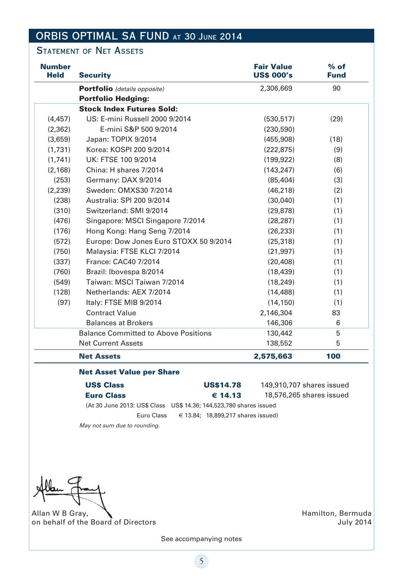## **STATEMENT OF NET ASSETS**

| <b>Number</b><br><b>Held</b> | <b>Security</b>                             | <b>Fair Value</b><br><b>US\$ 000's</b> | $%$ of<br><b>Fund</b> |
|------------------------------|---------------------------------------------|----------------------------------------|-----------------------|
|                              | Portfolio (details opposite)                | 2,306,669                              | 90                    |
|                              | <b>Portfolio Hedging:</b>                   |                                        |                       |
|                              | <b>Stock Index Futures Sold:</b>            |                                        |                       |
| (4, 457)                     | US: E-mini Russell 2000 9/2014              | (530, 517)                             | (29)                  |
| (2, 362)                     | E-mini S&P 500 9/2014                       | (230,590)                              |                       |
| (3,659)                      | Japan: TOPIX 9/2014                         | (455,908)                              | (18)                  |
| (1,731)                      | Korea: KOSPI 200 9/2014                     | (222, 875)                             | (9)                   |
| (1,741)                      | UK: FTSE 100 9/2014                         | (199, 922)                             | (8)                   |
| (2, 168)                     | China: H shares 7/2014                      | (143, 247)                             | (6)                   |
| (253)                        | Germany: DAX 9/2014                         | (85, 404)                              | (3)                   |
| (2, 239)                     | Sweden: OMXS30 7/2014                       | (46, 218)                              | (2)                   |
| (238)                        | Australia: SPI 200 9/2014                   | (30,040)                               | (1)                   |
| (310)                        | Switzerland: SMI 9/2014                     | (29, 878)                              | (1)                   |
| (476)                        | Singapore: MSCI Singapore 7/2014            | (28, 287)                              | (1)                   |
| (176)                        | Hong Kong: Hang Seng 7/2014                 | (26, 233)                              | (1)                   |
| (572)                        | Europe: Dow Jones Euro STOXX 50 9/2014      | (25, 318)                              | (1)                   |
| (750)                        | Malaysia: FTSE KLCl 7/2014                  | (21, 997)                              | (1)                   |
| (337)                        | France: CAC40 7/2014                        | (20, 408)                              | (1)                   |
| (760)                        | Brazil: Ibovespa 8/2014                     | (18, 439)                              | (1)                   |
| (549)                        | Taiwan: MSCI Taiwan 7/2014                  | (18, 249)                              | (1)                   |
| (128)                        | Netherlands: AEX 7/2014                     | (14, 488)                              | (1)                   |
| (97)                         | Italy: FTSE MIB 9/2014                      | (14, 150)                              | (1)                   |
|                              | <b>Contract Value</b>                       | 2,146,304                              | 83                    |
|                              | <b>Balances at Brokers</b>                  | 146,306                                | 6                     |
|                              | <b>Balance Committed to Above Positions</b> | 130,442                                | 5                     |
|                              | <b>Net Current Assets</b>                   | 138,552                                | 5                     |
|                              | <b>Net Assets</b>                           | 2,575,663                              | 100                   |

#### Net Asset Value per Share

| <b>US\$14.78</b> | 149,910,707 shares issued                                          |
|------------------|--------------------------------------------------------------------|
| € 14.13          | 18.576.265 shares issued                                           |
|                  |                                                                    |
|                  | (At 30 June 2013: US\$ Class US\$ 14.36; 144,523,780 shares issued |

Euro Class  $\in$  13.84; 18,899,217 shares issued)

 *May not sum due to rounding.*

Allan W B Gray,<br>
on behalf of the Board of Directors<br>
July 2014 on behalf of the Board of Directors

See accompanying notes

 $\left(5\right)$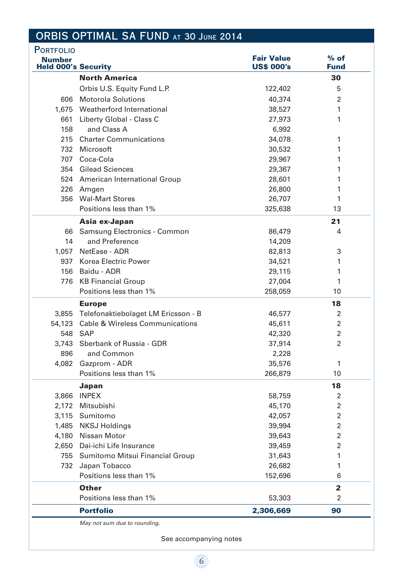| <b>PORTFOLIO</b>                            |                                           |                                        |                       |
|---------------------------------------------|-------------------------------------------|----------------------------------------|-----------------------|
| <b>Number</b><br><b>Held 000's Security</b> |                                           | <b>Fair Value</b><br><b>US\$ 000's</b> | $%$ of<br><b>Fund</b> |
|                                             | <b>North America</b>                      |                                        | 30                    |
|                                             | Orbis U.S. Equity Fund L.P.               | 122,402                                | 5                     |
|                                             | 606 Motorola Solutions                    | 40,374                                 | $\overline{2}$        |
|                                             | 1,675 Weatherford International           | 38,527                                 | 1                     |
|                                             | 661 Liberty Global - Class C              | 27,973                                 | 1                     |
| 158                                         | and Class A                               | 6,992                                  |                       |
|                                             | 215 Charter Communications                | 34,078                                 | 1                     |
|                                             | 732 Microsoft                             | 30,532                                 | 1                     |
|                                             | 707 Coca-Cola                             | 29,967                                 | 1                     |
|                                             | 354 Gilead Sciences                       | 29,367                                 | 1                     |
|                                             | 524 American International Group          | 28,601                                 | 1                     |
|                                             | 226 Amgen                                 | 26,800                                 | 1                     |
|                                             | 356 Wal-Mart Stores                       | 26,707                                 | 1                     |
|                                             | Positions less than 1%                    | 325,638                                | 13                    |
|                                             | Asia ex-Japan                             |                                        | 21                    |
|                                             | 66 Samsung Electronics - Common           | 86,479                                 | 4                     |
| 14                                          | and Preference                            | 14,209                                 |                       |
|                                             | 1,057 NetEase - ADR                       | 82,813                                 | 3                     |
|                                             | 937 Korea Electric Power                  | 34,521                                 | $\mathbf{1}$          |
|                                             | 156 Baidu - ADR                           | 29,115                                 | 1                     |
|                                             | 776 KB Financial Group                    | 27,004                                 | 1                     |
|                                             | Positions less than 1%                    | 258,059                                | 10                    |
|                                             | <b>Europe</b>                             |                                        | 18                    |
|                                             | 3,855 Telefonaktiebolaget LM Ericsson - B | 46,577                                 | $\overline{2}$        |
|                                             | 54,123 Cable & Wireless Communications    | 45,611                                 | $\overline{2}$        |
|                                             | 548 SAP                                   | 42,320                                 | $\overline{2}$        |
|                                             | 3,743 Sberbank of Russia - GDR            | 37,914                                 | $\overline{2}$        |
| 896                                         | and Common                                | 2,228                                  |                       |
|                                             | 4,082 Gazprom - ADR                       | 35,576                                 | $\mathbf{1}$          |
|                                             | Positions less than 1%                    | 266,879                                | 10                    |
|                                             | Japan                                     |                                        | 18                    |
|                                             | 3,866 INPEX                               | 58,759                                 | $\overline{c}$        |
|                                             | 2,172 Mitsubishi                          | 45,170                                 | $\boldsymbol{2}$      |
|                                             | 3,115 Sumitomo                            | 42,057                                 | $\overline{c}$        |
|                                             | 1,485 NKSJ Holdings                       | 39,994                                 | $\overline{2}$        |
|                                             | 4,180 Nissan Motor                        | 39,643                                 | $\overline{2}$        |
|                                             | 2,650 Dai-ichi Life Insurance             | 39,459                                 | $\overline{2}$        |
|                                             | 755 Sumitomo Mitsui Financial Group       | 31,643                                 | 1                     |
| 732                                         | Japan Tobacco                             | 26,682                                 | 1                     |
|                                             | Positions less than 1%                    | 152,696                                | 6                     |
|                                             | <b>Other</b>                              |                                        | $\mathbf{2}$          |
|                                             | Positions less than 1%                    | 53,303                                 | $\overline{2}$        |
|                                             | <b>Portfolio</b>                          | 2,306,669                              | 90                    |

See accompanying notes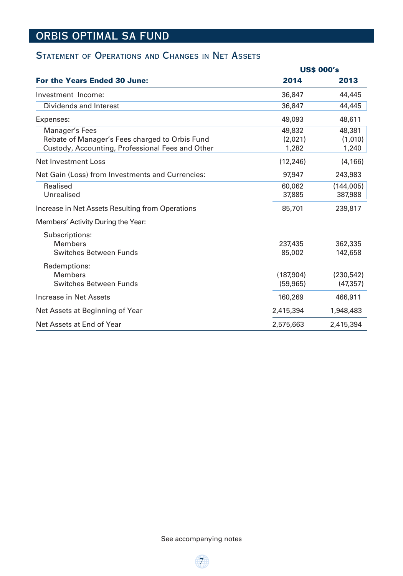# ORBIS OPTIMAL SA FUND

## STATEMENT OF OPERATIONS AND CHANGES IN NET ASSETS

|                                                                                                                      |                            | <b>US\$ 000's</b>          |  |  |
|----------------------------------------------------------------------------------------------------------------------|----------------------------|----------------------------|--|--|
| For the Years Ended 30 June:                                                                                         | 2014                       | 2013                       |  |  |
| Investment Income:                                                                                                   | 36,847                     | 44,445                     |  |  |
| Dividends and Interest                                                                                               | 36,847                     | 44,445                     |  |  |
| Expenses:                                                                                                            | 49,093                     | 48,611                     |  |  |
| Manager's Fees<br>Rebate of Manager's Fees charged to Orbis Fund<br>Custody, Accounting, Professional Fees and Other | 49,832<br>(2,021)<br>1,282 | 48,381<br>(1,010)<br>1,240 |  |  |
| Net Investment Loss                                                                                                  | (12, 246)                  | (4, 166)                   |  |  |
| Net Gain (Loss) from Investments and Currencies:                                                                     | 97,947                     | 243,983                    |  |  |
| Realised<br>Unrealised                                                                                               | 60.062<br>37,885           | (144,005)<br>387,988       |  |  |
| Increase in Net Assets Resulting from Operations                                                                     | 85,701                     | 239,817                    |  |  |
| Members' Activity During the Year:                                                                                   |                            |                            |  |  |
| Subscriptions:<br><b>Members</b><br>Switches Between Funds                                                           | 237,435<br>85,002          | 362,335<br>142,658         |  |  |
| Redemptions:<br><b>Members</b><br>Switches Between Funds                                                             | (187,904)<br>(59, 965)     | (230, 542)<br>(47, 357)    |  |  |
| Increase in Net Assets                                                                                               | 160,269                    | 466,911                    |  |  |
| Net Assets at Beginning of Year                                                                                      | 2,415,394                  | 1,948,483                  |  |  |
| Net Assets at End of Year                                                                                            | 2,575,663                  | 2,415,394                  |  |  |

See accompanying notes

4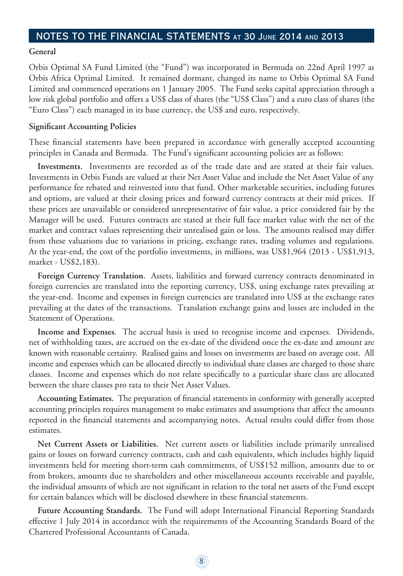# NOTES TO THE FINANCIAL STATEMENTS at 30 June 2014 and 2013

#### **General**

Orbis Optimal SA Fund Limited (the "Fund") was incorporated in Bermuda on 22nd April 1997 as Orbis Africa Optimal Limited. It remained dormant, changed its name to Orbis Optimal SA Fund Limited and commenced operations on 1 January 2005. The Fund seeks capital appreciation through a low risk global portfolio and offers a US\$ class of shares (the "US\$ Class") and a euro class of shares (the "Euro Class") each managed in its base currency, the US\$ and euro, respectively.

#### **Significant Accounting Policies**

These financial statements have been prepared in accordance with generally accepted accounting principles in Canada and Bermuda. The Fund's significant accounting policies are as follows:

**Investments.** Investments are recorded as of the trade date and are stated at their fair values. Investments in Orbis Funds are valued at their Net Asset Value and include the Net Asset Value of any performance fee rebated and reinvested into that fund. Other marketable securities, including futures and options, are valued at their closing prices and forward currency contracts at their mid prices. If these prices are unavailable or considered unrepresentative of fair value, a price considered fair by the Manager will be used. Futures contracts are stated at their full face market value with the net of the market and contract values representing their unrealised gain or loss. The amounts realised may differ from these valuations due to variations in pricing, exchange rates, trading volumes and regulations. At the year-end, the cost of the portfolio investments, in millions, was US\$1,964 (2013 - US\$1,913, market - US\$2,183).

**Foreign Currency Translation.** Assets, liabilities and forward currency contracts denominated in foreign currencies are translated into the reporting currency, US\$, using exchange rates prevailing at the year-end. Income and expenses in foreign currencies are translated into US\$ at the exchange rates prevailing at the dates of the transactions. Translation exchange gains and losses are included in the Statement of Operations.

**Income and Expenses**. The accrual basis is used to recognise income and expenses. Dividends, net of withholding taxes, are accrued on the ex-date of the dividend once the ex-date and amount are known with reasonable certainty. Realised gains and losses on investments are based on average cost. All income and expenses which can be allocated directly to individual share classes are charged to those share classes. Income and expenses which do not relate specifically to a particular share class are allocated between the share classes pro rata to their Net Asset Values.

**Accounting Estimates.** The preparation of financial statements in conformity with generally accepted accounting principles requires management to make estimates and assumptions that affect the amounts reported in the financial statements and accompanying notes. Actual results could differ from those estimates.

**Net Current Assets or Liabilities.** Net current assets or liabilities include primarily unrealised gains or losses on forward currency contracts, cash and cash equivalents, which includes highly liquid investments held for meeting short-term cash commitments, of US\$152 million, amounts due to or from brokers, amounts due to shareholders and other miscellaneous accounts receivable and payable, the individual amounts of which are not significant in relation to the total net assets of the Fund except for certain balances which will be disclosed elsewhere in these financial statements.

**Future Accounting Standards.** The Fund will adopt International Financial Reporting Standards effective 1 July 2014 in accordance with the requirements of the Accounting Standards Board of the Chartered Professional Accountants of Canada.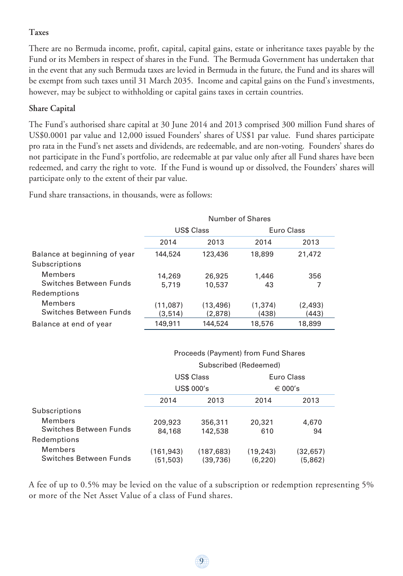#### **Taxes**

There are no Bermuda income, profit, capital, capital gains, estate or inheritance taxes payable by the Fund or its Members in respect of shares in the Fund. The Bermuda Government has undertaken that in the event that any such Bermuda taxes are levied in Bermuda in the future, the Fund and its shares will be exempt from such taxes until 31 March 2035. Income and capital gains on the Fund's investments, however, may be subject to withholding or capital gains taxes in certain countries.

#### **Share Capital**

The Fund's authorised share capital at 30 June 2014 and 2013 comprised 300 million Fund shares of US\$0.0001 par value and 12,000 issued Founders' shares of US\$1 par value. Fund shares participate pro rata in the Fund's net assets and dividends, are redeemable, and are non-voting. Founders' shares do not participate in the Fund's portfolio, are redeemable at par value only after all Fund shares have been redeemed, and carry the right to vote. If the Fund is wound up or dissolved, the Founders' shares will participate only to the extent of their par value.

Fund share transactions, in thousands, were as follows:

|                                               | Number of Shares     |                      |                   |                   |
|-----------------------------------------------|----------------------|----------------------|-------------------|-------------------|
|                                               | US\$ Class           |                      |                   | Euro Class        |
|                                               | 2014                 | 2013                 | 2014              | 2013              |
| Balance at beginning of year<br>Subscriptions | 144,524              | 123,436              | 18,899            | 21,472            |
| <b>Members</b><br>Switches Between Funds      | 14,269<br>5.719      | 26,925<br>10,537     | 1,446<br>43       | 356<br>7          |
| Redemptions                                   |                      |                      |                   |                   |
| Members<br>Switches Between Funds             | (11,087)<br>(3, 514) | (13, 496)<br>(2,878) | (1, 374)<br>(438) | (2, 493)<br>(443) |
| Balance at end of year                        | 149,911              | 144,524              | 18,576            | 18,899            |

|                                   | Proceeds (Payment) from Fund Shares |                        |                       |                      |  |
|-----------------------------------|-------------------------------------|------------------------|-----------------------|----------------------|--|
|                                   | Subscribed (Redeemed)               |                        |                       |                      |  |
|                                   |                                     | US\$ Class             |                       | Euro Class           |  |
|                                   |                                     | US\$ 000's             | $\epsilon$ 000's      |                      |  |
|                                   | 2014                                | 2013                   | 2014                  | 2013                 |  |
| Subscriptions                     |                                     |                        |                       |                      |  |
| Members<br>Switches Between Funds | 209,923<br>84,168                   | 356,311<br>142,538     | 20,321<br>610         | 4,670<br>94          |  |
| Redemptions                       |                                     |                        |                       |                      |  |
| Members<br>Switches Between Funds | (161, 943)<br>(51,503)              | (187, 683)<br>(39,736) | (19, 243)<br>(6, 220) | (32, 657)<br>(5,862) |  |

A fee of up to 0.5% may be levied on the value of a subscription or redemption representing 5% or more of the Net Asset Value of a class of Fund shares.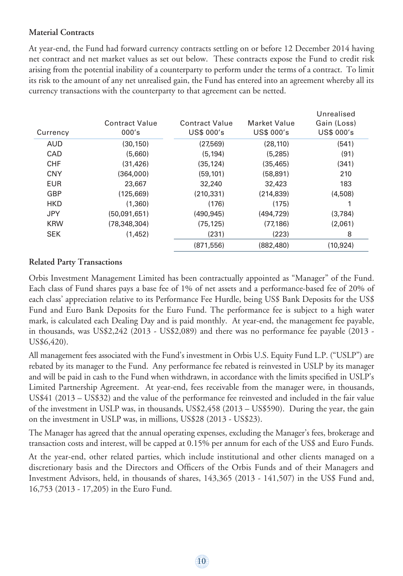#### **Material Contracts**

At year-end, the Fund had forward currency contracts settling on or before 12 December 2014 having net contract and net market values as set out below. These contracts expose the Fund to credit risk arising from the potential inability of a counterparty to perform under the terms of a contract. To limit its risk to the amount of any net unrealised gain, the Fund has entered into an agreement whereby all its currency transactions with the counterparty to that agreement can be netted.

| Currency   | <b>Contract Value</b><br>000's | <b>Contract Value</b><br><b>US\$ 000's</b> | Market Value<br>US\$ 000's | Unrealised<br>Gain (Loss)<br>US\$ 000's |
|------------|--------------------------------|--------------------------------------------|----------------------------|-----------------------------------------|
| <b>AUD</b> | (30, 150)                      | (27, 569)                                  | (28, 110)                  | (541)                                   |
| CAD        | (5,660)                        | (5, 194)                                   | (5,285)                    | (91)                                    |
| <b>CHF</b> | (31, 426)                      | (35, 124)                                  | (35, 465)                  | (341)                                   |
| <b>CNY</b> | (364,000)                      | (59, 101)                                  | (58, 891)                  | 210                                     |
| <b>EUR</b> | 23,667                         | 32,240                                     | 32,423                     | 183                                     |
| GBP        | (125, 669)                     | (210, 331)                                 | (214, 839)                 | (4,508)                                 |
| <b>HKD</b> | (1,360)                        | (176)                                      | (175)                      |                                         |
| <b>JPY</b> | (50,091,651)                   | (490, 945)                                 | (494.729)                  | (3,784)                                 |
| <b>KRW</b> | (78,348,304)                   | (75, 125)                                  | (77,186)                   | (2,061)                                 |
| <b>SEK</b> | (1,452)                        | (231)                                      | (223)                      | 8                                       |
|            |                                | (871, 556)                                 | (882, 480)                 | (10, 924)                               |

#### **Related Party Transactions**

Orbis Investment Management Limited has been contractually appointed as "Manager" of the Fund. Each class of Fund shares pays a base fee of 1% of net assets and a performance-based fee of 20% of each class' appreciation relative to its Performance Fee Hurdle, being US\$ Bank Deposits for the US\$ Fund and Euro Bank Deposits for the Euro Fund. The performance fee is subject to a high water mark, is calculated each Dealing Day and is paid monthly. At year-end, the management fee payable, in thousands, was US\$2,242 (2013 - US\$2,089) and there was no performance fee payable (2013 - US\$6,420).

All management fees associated with the Fund's investment in Orbis U.S. Equity Fund L.P. ("USLP") are rebated by its manager to the Fund. Any performance fee rebated is reinvested in USLP by its manager and will be paid in cash to the Fund when withdrawn, in accordance with the limits specified in USLP's Limited Partnership Agreement. At year-end, fees receivable from the manager were, in thousands, US\$41 (2013 – US\$32) and the value of the performance fee reinvested and included in the fair value of the investment in USLP was, in thousands, US\$2,458 (2013 – US\$590). During the year, the gain on the investment in USLP was, in millions, US\$28 (2013 - US\$23).

The Manager has agreed that the annual operating expenses, excluding the Manager's fees, brokerage and transaction costs and interest, will be capped at 0.15% per annum for each of the US\$ and Euro Funds.

At the year-end, other related parties, which include institutional and other clients managed on a discretionary basis and the Directors and Officers of the Orbis Funds and of their Managers and Investment Advisors, held, in thousands of shares, 143,365 (2013 - 141,507) in the US\$ Fund and, 16,753 (2013 - 17,205) in the Euro Fund.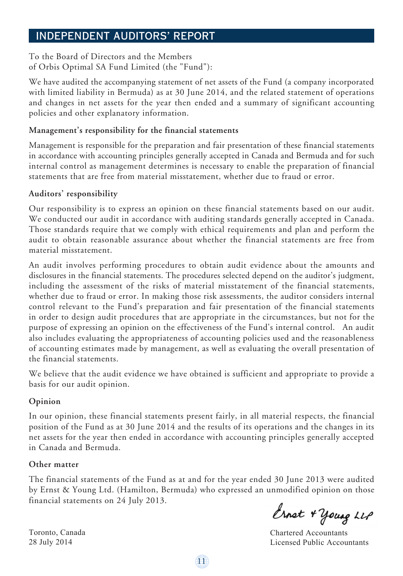## INDEPENDENT AUDITORS' REPORT

To the Board of Directors and the Members of Orbis Optimal SA Fund Limited (the "Fund"):

We have audited the accompanying statement of net assets of the Fund (a company incorporated with limited liability in Bermuda) as at 30 June 2014, and the related statement of operations and changes in net assets for the year then ended and a summary of significant accounting policies and other explanatory information.

#### **Management's responsibility for the financial statements**

Management is responsible for the preparation and fair presentation of these financial statements in accordance with accounting principles generally accepted in Canada and Bermuda and for such internal control as management determines is necessary to enable the preparation of financial statements that are free from material misstatement, whether due to fraud or error.

## **Auditors' responsibility**

Our responsibility is to express an opinion on these financial statements based on our audit. We conducted our audit in accordance with auditing standards generally accepted in Canada. Those standards require that we comply with ethical requirements and plan and perform the audit to obtain reasonable assurance about whether the financial statements are free from material misstatement.

An audit involves performing procedures to obtain audit evidence about the amounts and disclosures in the financial statements. The procedures selected depend on the auditor's judgment, including the assessment of the risks of material misstatement of the financial statements, whether due to fraud or error. In making those risk assessments, the auditor considers internal control relevant to the Fund's preparation and fair presentation of the financial statements in order to design audit procedures that are appropriate in the circumstances, but not for the purpose of expressing an opinion on the effectiveness of the Fund's internal control. An audit also includes evaluating the appropriateness of accounting policies used and the reasonableness of accounting estimates made by management, as well as evaluating the overall presentation of the financial statements.

We believe that the audit evidence we have obtained is sufficient and appropriate to provide a basis for our audit opinion.

## **Opinion**

In our opinion, these financial statements present fairly, in all material respects, the financial position of the Fund as at 30 June 2014 and the results of its operations and the changes in its net assets for the year then ended in accordance with accounting principles generally accepted in Canada and Bermuda.

#### **Other matter**

The financial statements of the Fund as at and for the year ended 30 June 2013 were audited by Ernst & Young Ltd. (Hamilton, Bermuda) who expressed an unmodified opinion on those financial statements on 24 July 2013.

Ernst + young LLP

Chartered Accountants Licensed Public Accountants

Toronto, Canada 28 July 2014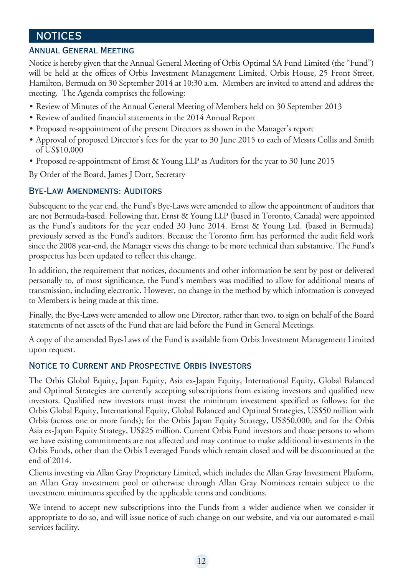# **NOTICES**

### Annual General Meeting

Notice is hereby given that the Annual General Meeting of Orbis Optimal SA Fund Limited (the "Fund") will be held at the offices of Orbis Investment Management Limited, Orbis House, 25 Front Street, Hamilton, Bermuda on 30 September 2014 at 10:30 a.m. Members are invited to attend and address the meeting. The Agenda comprises the following:

- Review of Minutes of the Annual General Meeting of Members held on 30 September 2013
- • Review of audited financial statements in the 2014 Annual Report
- Proposed re-appointment of the present Directors as shown in the Manager's report
- • Approval of proposed Director's fees for the year to 30 June 2015 to each of Messrs Collis and Smith of US\$10,000
- Proposed re-appointment of Ernst & Young LLP as Auditors for the year to 30 June 2015

By Order of the Board, James J Dorr, Secretary

### Bye-Law Amendments: Auditors

Subsequent to the year end, the Fund's Bye-Laws were amended to allow the appointment of auditors that are not Bermuda-based. Following that, Ernst & Young LLP (based in Toronto, Canada) were appointed as the Fund's auditors for the year ended 30 June 2014. Ernst & Young Ltd. (based in Bermuda) previously served as the Fund's auditors. Because the Toronto firm has performed the audit field work since the 2008 year-end, the Manager views this change to be more technical than substantive. The Fund's prospectus has been updated to reflect this change.

In addition, the requirement that notices, documents and other information be sent by post or delivered personally to, of most significance, the Fund's members was modified to allow for additional means of transmission, including electronic. However, no change in the method by which information is conveyed to Members is being made at this time.

Finally, the Bye-Laws were amended to allow one Director, rather than two, to sign on behalf of the Board statements of net assets of the Fund that are laid before the Fund in General Meetings.

A copy of the amended Bye-Laws of the Fund is available from Orbis Investment Management Limited upon request.

#### Notice to Current and Prospective Orbis Investors

The Orbis Global Equity, Japan Equity, Asia ex-Japan Equity, International Equity, Global Balanced and Optimal Strategies are currently accepting subscriptions from existing investors and qualified new investors. Qualified new investors must invest the minimum investment specified as follows: for the Orbis Global Equity, International Equity, Global Balanced and Optimal Strategies, US\$50 million with Orbis (across one or more funds); for the Orbis Japan Equity Strategy, US\$50,000; and for the Orbis Asia ex-Japan Equity Strategy, US\$25 million. Current Orbis Fund investors and those persons to whom we have existing commitments are not affected and may continue to make additional investments in the Orbis Funds, other than the Orbis Leveraged Funds which remain closed and will be discontinued at the end of 2014.

Clients investing via Allan Gray Proprietary Limited, which includes the Allan Gray Investment Platform, an Allan Gray investment pool or otherwise through Allan Gray Nominees remain subject to the investment minimums specified by the applicable terms and conditions.

We intend to accept new subscriptions into the Funds from a wider audience when we consider it appropriate to do so, and will issue notice of such change on our website, and via our automated e-mail services facility.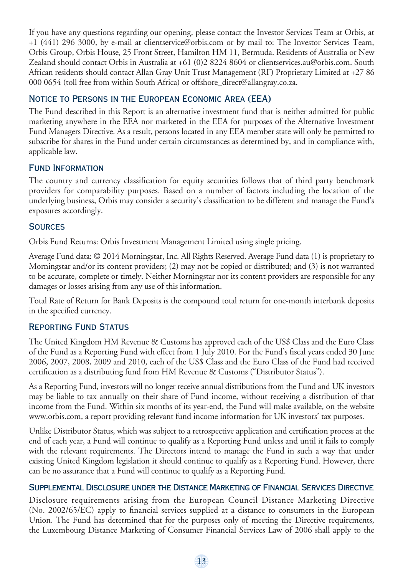If you have any questions regarding our opening, please contact the Investor Services Team at Orbis, at +1 (441) 296 3000, by e-mail at clientservice@orbis.com or by mail to: The Investor Services Team, Orbis Group, Orbis House, 25 Front Street, Hamilton HM 11, Bermuda. Residents of Australia or New Zealand should contact Orbis in Australia at +61 (0)2 8224 8604 or clientservices.au@orbis.com. South African residents should contact Allan Gray Unit Trust Management (RF) Proprietary Limited at +27 86 000 0654 (toll free from within South Africa) or offshore\_direct@allangray.co.za.

## Notice to Persons in the European Economic Area (EEA)

The Fund described in this Report is an alternative investment fund that is neither admitted for public marketing anywhere in the EEA nor marketed in the EEA for purposes of the Alternative Investment Fund Managers Directive. As a result, persons located in any EEA member state will only be permitted to subscribe for shares in the Fund under certain circumstances as determined by, and in compliance with, applicable law.

### Fund Information

The country and currency classification for equity securities follows that of third party benchmark providers for comparability purposes. Based on a number of factors including the location of the underlying business, Orbis may consider a security's classification to be different and manage the Fund's exposures accordingly.

### **SOURCES**

Orbis Fund Returns: Orbis Investment Management Limited using single pricing.

Average Fund data: © 2014 Morningstar, Inc. All Rights Reserved. Average Fund data (1) is proprietary to Morningstar and/or its content providers; (2) may not be copied or distributed; and (3) is not warranted to be accurate, complete or timely. Neither Morningstar nor its content providers are responsible for any damages or losses arising from any use of this information.

Total Rate of Return for Bank Deposits is the compound total return for one-month interbank deposits in the specified currency.

## **REPORTING FUND STATUS**

The United Kingdom HM Revenue & Customs has approved each of the US\$ Class and the Euro Class of the Fund as a Reporting Fund with effect from 1 July 2010. For the Fund's fiscal years ended 30 June 2006, 2007, 2008, 2009 and 2010, each of the US\$ Class and the Euro Class of the Fund had received certification as a distributing fund from HM Revenue & Customs ("Distributor Status").

As a Reporting Fund, investors will no longer receive annual distributions from the Fund and UK investors may be liable to tax annually on their share of Fund income, without receiving a distribution of that income from the Fund. Within six months of its year-end, the Fund will make available, on the website www.orbis.com, a report providing relevant fund income information for UK investors' tax purposes.

Unlike Distributor Status, which was subject to a retrospective application and certification process at the end of each year, a Fund will continue to qualify as a Reporting Fund unless and until it fails to comply with the relevant requirements. The Directors intend to manage the Fund in such a way that under existing United Kingdom legislation it should continue to qualify as a Reporting Fund. However, there can be no assurance that a Fund will continue to qualify as a Reporting Fund.

#### Supplemental Disclosure under the Distance Marketing of Financial Services Directive

Disclosure requirements arising from the European Council Distance Marketing Directive (No. 2002/65/EC) apply to financial services supplied at a distance to consumers in the European Union. The Fund has determined that for the purposes only of meeting the Directive requirements, the Luxembourg Distance Marketing of Consumer Financial Services Law of 2006 shall apply to the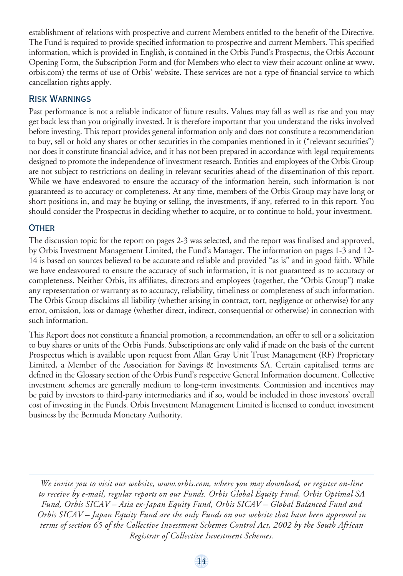establishment of relations with prospective and current Members entitled to the benefit of the Directive. The Fund is required to provide specified information to prospective and current Members. This specified information, which is provided in English, is contained in the Orbis Fund's Prospectus, the Orbis Account Opening Form, the Subscription Form and (for Members who elect to view their account online at www. orbis.com) the terms of use of Orbis' website. These services are not a type of financial service to which cancellation rights apply.

### Risk Warnings

Past performance is not a reliable indicator of future results. Values may fall as well as rise and you may get back less than you originally invested. It is therefore important that you understand the risks involved before investing. This report provides general information only and does not constitute a recommendation to buy, sell or hold any shares or other securities in the companies mentioned in it ("relevant securities") nor does it constitute financial advice, and it has not been prepared in accordance with legal requirements designed to promote the independence of investment research. Entities and employees of the Orbis Group are not subject to restrictions on dealing in relevant securities ahead of the dissemination of this report. While we have endeavored to ensure the accuracy of the information herein, such information is not guaranteed as to accuracy or completeness. At any time, members of the Orbis Group may have long or short positions in, and may be buying or selling, the investments, if any, referred to in this report. You should consider the Prospectus in deciding whether to acquire, or to continue to hold, your investment.

### **OTHER**

The discussion topic for the report on pages 2-3 was selected, and the report was finalised and approved, by Orbis Investment Management Limited, the Fund's Manager. The information on pages 1-3 and 12- 14 is based on sources believed to be accurate and reliable and provided "as is" and in good faith. While we have endeavoured to ensure the accuracy of such information, it is not guaranteed as to accuracy or completeness. Neither Orbis, its affiliates, directors and employees (together, the "Orbis Group") make any representation or warranty as to accuracy, reliability, timeliness or completeness of such information. The Orbis Group disclaims all liability (whether arising in contract, tort, negligence or otherwise) for any error, omission, loss or damage (whether direct, indirect, consequential or otherwise) in connection with such information.

This Report does not constitute a financial promotion, a recommendation, an offer to sell or a solicitation to buy shares or units of the Orbis Funds. Subscriptions are only valid if made on the basis of the current Prospectus which is available upon request from Allan Gray Unit Trust Management (RF) Proprietary Limited, a Member of the Association for Savings & Investments SA. Certain capitalised terms are defined in the Glossary section of the Orbis Fund's respective General Information document. Collective investment schemes are generally medium to long-term investments. Commission and incentives may be paid by investors to third-party intermediaries and if so, would be included in those investors' overall cost of investing in the Funds. Orbis Investment Management Limited is licensed to conduct investment business by the Bermuda Monetary Authority.

*We invite you to visit our website, www.orbis.com, where you may download, or register on-line to receive by e-mail, regular reports on our Funds. Orbis Global Equity Fund, Orbis Optimal SA Fund, Orbis SICAV – Asia ex-Japan Equity Fund, Orbis SICAV – Global Balanced Fund and Orbis SICAV – Japan Equity Fund are the only Funds on our website that have been approved in terms of section 65 of the Collective Investment Schemes Control Act, 2002 by the South African Registrar of Collective Investment Schemes.*